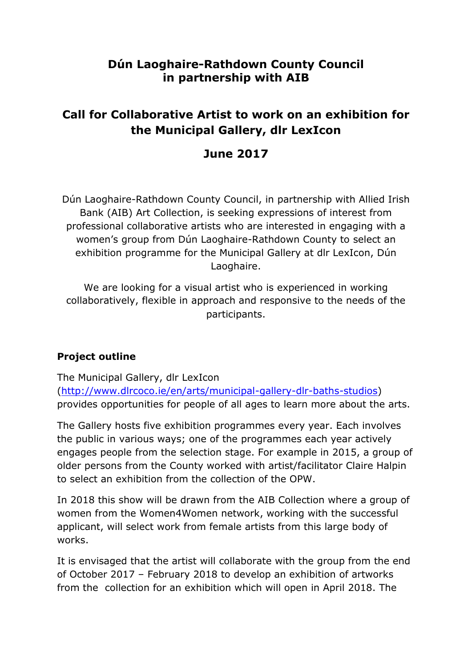# **Dún Laoghaire-Rathdown County Council in partnership with AIB**

# **Call for Collaborative Artist to work on an exhibition for the Municipal Gallery, dlr LexIcon**

# **June 2017**

Dún Laoghaire-Rathdown County Council, in partnership with Allied Irish Bank (AIB) Art Collection, is seeking expressions of interest from professional collaborative artists who are interested in engaging with a women's group from Dún Laoghaire-Rathdown County to select an exhibition programme for the Municipal Gallery at dlr LexIcon, Dún Laoghaire.

We are looking for a visual artist who is experienced in working collaboratively, flexible in approach and responsive to the needs of the participants.

### **Project outline**

The Municipal Gallery, dlr LexIcon [\(http://www.dlrcoco.ie/en/arts/municipal-gallery-dlr-baths-studios\)](http://www.dlrcoco.ie/en/arts/municipal-gallery-dlr-baths-studios) provides opportunities for people of all ages to learn more about the arts.

The Gallery hosts five exhibition programmes every year. Each involves the public in various ways; one of the programmes each year actively engages people from the selection stage. For example in 2015, a group of older persons from the County worked with artist/facilitator Claire Halpin to select an exhibition from the collection of the OPW.

In 2018 this show will be drawn from the AIB Collection where a group of women from the Women4Women network, working with the successful applicant, will select work from female artists from this large body of works.

It is envisaged that the artist will collaborate with the group from the end of October 2017 – February 2018 to develop an exhibition of artworks from the collection for an exhibition which will open in April 2018. The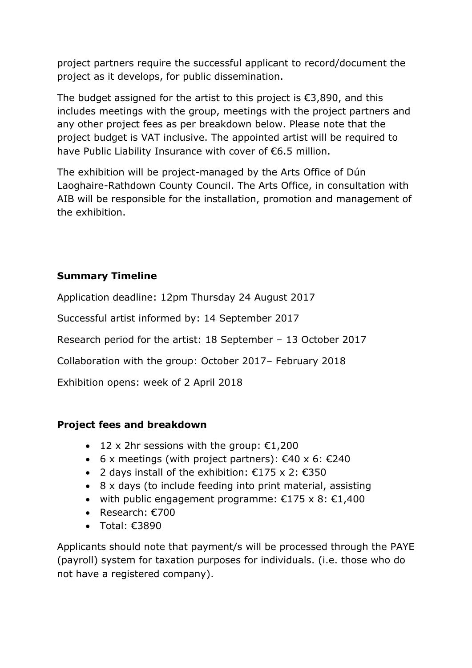project partners require the successful applicant to record/document the project as it develops, for public dissemination.

The budget assigned for the artist to this project is  $\epsilon$ 3,890, and this includes meetings with the group, meetings with the project partners and any other project fees as per breakdown below. Please note that the project budget is VAT inclusive. The appointed artist will be required to have Public Liability Insurance with cover of €6.5 million.

The exhibition will be project-managed by the Arts Office of Dún Laoghaire-Rathdown County Council. The Arts Office, in consultation with AIB will be responsible for the installation, promotion and management of the exhibition.

# **Summary Timeline**

Application deadline: 12pm Thursday 24 August 2017

Successful artist informed by: 14 September 2017

Research period for the artist: 18 September – 13 October 2017

Collaboration with the group: October 2017– February 2018

Exhibition opens: week of 2 April 2018

### **Project fees and breakdown**

- 12 x 2hr sessions with the group:  $€1,200$
- 6 x meetings (with project partners):  $€40 \times 6$ :  $€240$
- 2 days install of the exhibition:  $€175 \times 2$ :  $€350$
- 8 x days (to include feeding into print material, assisting
- with public engagement programme:  $€175 \times 8$ :  $€1,400$
- Research:  $€700$
- Total: €3890

Applicants should note that payment/s will be processed through the PAYE (payroll) system for taxation purposes for individuals. (i.e. those who do not have a registered company).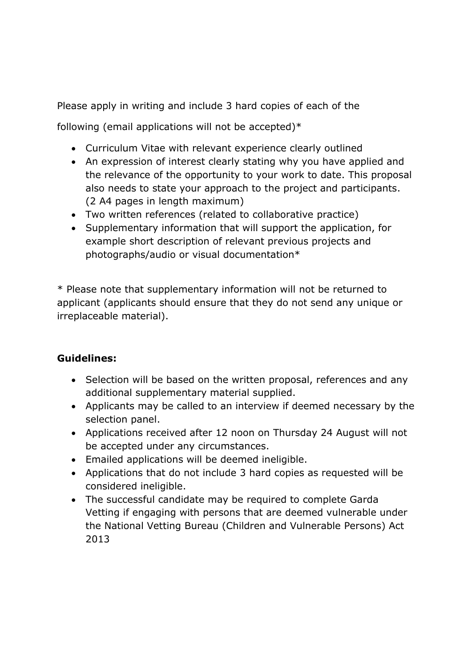Please apply in writing and include 3 hard copies of each of the

following (email applications will not be accepted) $*$ 

- Curriculum Vitae with relevant experience clearly outlined
- An expression of interest clearly stating why you have applied and the relevance of the opportunity to your work to date. This proposal also needs to state your approach to the project and participants. (2 A4 pages in length maximum)
- Two written references (related to collaborative practice)
- Supplementary information that will support the application, for example short description of relevant previous projects and photographs/audio or visual documentation\*

\* Please note that supplementary information will not be returned to applicant (applicants should ensure that they do not send any unique or irreplaceable material).

# **Guidelines:**

- Selection will be based on the written proposal, references and any additional supplementary material supplied.
- Applicants may be called to an interview if deemed necessary by the selection panel.
- Applications received after 12 noon on Thursday 24 August will not be accepted under any circumstances.
- Emailed applications will be deemed ineligible.
- Applications that do not include 3 hard copies as requested will be considered ineligible.
- The successful candidate may be required to complete Garda Vetting if engaging with persons that are deemed vulnerable under the National Vetting Bureau (Children and Vulnerable Persons) Act 2013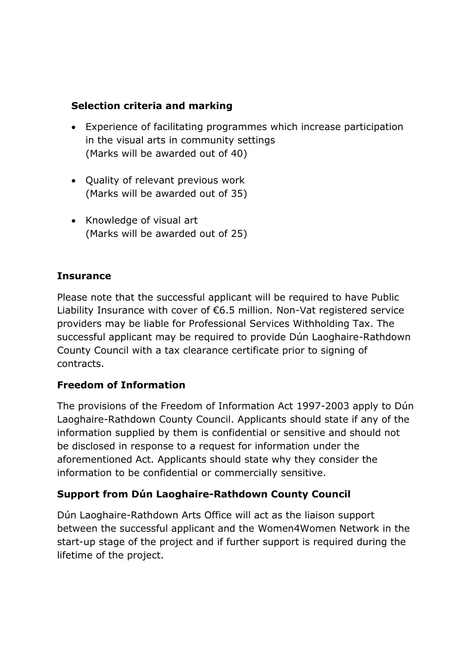# **Selection criteria and marking**

- Experience of facilitating programmes which increase participation in the visual arts in community settings (Marks will be awarded out of 40)
- Quality of relevant previous work (Marks will be awarded out of 35)
- Knowledge of visual art (Marks will be awarded out of 25)

# **Insurance**

Please note that the successful applicant will be required to have Public Liability Insurance with cover of €6.5 million. Non-Vat registered service providers may be liable for Professional Services Withholding Tax. The successful applicant may be required to provide Dún Laoghaire-Rathdown County Council with a tax clearance certificate prior to signing of contracts.

### **Freedom of Information**

The provisions of the Freedom of Information Act 1997-2003 apply to Dún Laoghaire-Rathdown County Council. Applicants should state if any of the information supplied by them is confidential or sensitive and should not be disclosed in response to a request for information under the aforementioned Act. Applicants should state why they consider the information to be confidential or commercially sensitive.

### **Support from Dún Laoghaire-Rathdown County Council**

Dún Laoghaire-Rathdown Arts Office will act as the liaison support between the successful applicant and the Women4Women Network in the start-up stage of the project and if further support is required during the lifetime of the project.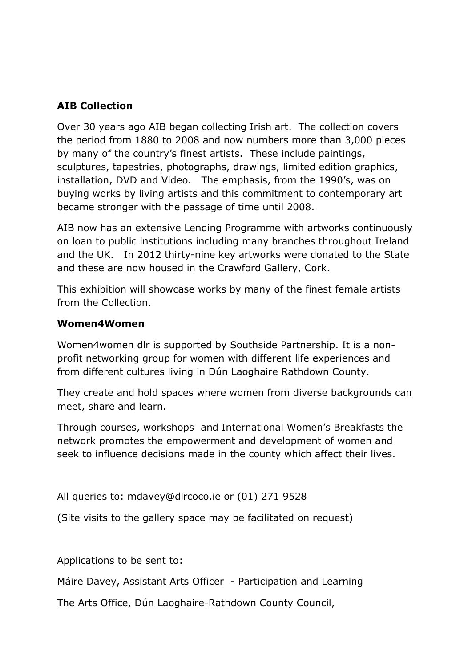## **AIB Collection**

Over 30 years ago AIB began collecting Irish art. The collection covers the period from 1880 to 2008 and now numbers more than 3,000 pieces by many of the country's finest artists. These include paintings, sculptures, tapestries, photographs, drawings, limited edition graphics, installation, DVD and Video. The emphasis, from the 1990's, was on buying works by living artists and this commitment to contemporary art became stronger with the passage of time until 2008.

AIB now has an extensive Lending Programme with artworks continuously on loan to public institutions including many branches throughout Ireland and the UK. In 2012 thirty-nine key artworks were donated to the State and these are now housed in the Crawford Gallery, Cork.

This exhibition will showcase works by many of the finest female artists from the Collection.

#### **Women4Women**

Women4women dlr is supported by Southside Partnership. It is a nonprofit networking group for women with different life experiences and from different cultures living in Dún Laoghaire Rathdown County.

They create and hold spaces where women from diverse backgrounds can meet, share and learn.

Through courses, workshops and International Women's Breakfasts the network promotes the empowerment and development of women and seek to influence decisions made in the county which affect their lives.

All queries to: mdavey@dlrcoco.ie or (01) 271 9528

(Site visits to the gallery space may be facilitated on request)

Applications to be sent to:

Máire Davey, Assistant Arts Officer - Participation and Learning

The Arts Office, Dún Laoghaire-Rathdown County Council,